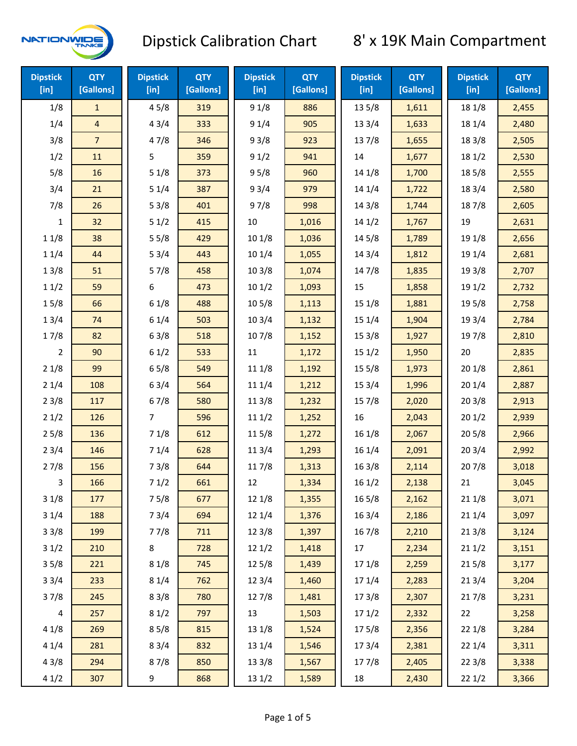

| <b>Dipstick</b><br>$[$ in] | <b>QTY</b><br>[Gallons] | <b>Dipstick</b><br>[in] | <b>QTY</b><br>[Gallons] | <b>Dipstick</b><br>[in] | <b>QTY</b><br>[Gallons] | <b>Dipstick</b><br>[in] | <b>QTY</b><br>[Gallons] | <b>Dipstick</b><br>$[$ in] | <b>QTY</b><br>[Gallons] |
|----------------------------|-------------------------|-------------------------|-------------------------|-------------------------|-------------------------|-------------------------|-------------------------|----------------------------|-------------------------|
| 1/8                        | $\mathbf{1}$            | 45/8                    | 319                     | 91/8                    | 886                     | 13 5/8                  | 1,611                   | 18 1/8                     | 2,455                   |
| 1/4                        | $\overline{\mathbf{4}}$ | 43/4                    | 333                     | 91/4                    | 905                     | 13 3/4                  | 1,633                   | 18 1/4                     | 2,480                   |
| 3/8                        | $\overline{7}$          | 47/8                    | 346                     | 93/8                    | 923                     | 137/8                   | 1,655                   | 18 3/8                     | 2,505                   |
| 1/2                        | 11                      | 5                       | 359                     | 91/2                    | 941                     | 14                      | 1,677                   | 18 1/2                     | 2,530                   |
| 5/8                        | 16                      | 51/8                    | 373                     | 95/8                    | 960                     | 14 1/8                  | 1,700                   | 185/8                      | 2,555                   |
| 3/4                        | 21                      | 51/4                    | 387                     | 93/4                    | 979                     | 14 1/4                  | 1,722                   | 18 3/4                     | 2,580                   |
| 7/8                        | 26                      | 53/8                    | 401                     | 97/8                    | 998                     | 14 3/8                  | 1,744                   | 187/8                      | 2,605                   |
| 1                          | 32                      | 51/2                    | 415                     | 10                      | 1,016                   | 14 1/2                  | 1,767                   | 19                         | 2,631                   |
| 11/8                       | 38                      | 55/8                    | 429                     | 101/8                   | 1,036                   | 14 5/8                  | 1,789                   | 19 1/8                     | 2,656                   |
| 11/4                       | 44                      | 53/4                    | 443                     | 10 1/4                  | 1,055                   | 143/4                   | 1,812                   | 19 1/4                     | 2,681                   |
| 13/8                       | 51                      | 57/8                    | 458                     | 103/8                   | 1,074                   | 147/8                   | 1,835                   | 19 3/8                     | 2,707                   |
| 11/2                       | 59                      | 6                       | 473                     | 101/2                   | 1,093                   | 15                      | 1,858                   | 19 1/2                     | 2,732                   |
| 15/8                       | 66                      | 61/8                    | 488                     | 10 <sub>5/8</sub>       | 1,113                   | 151/8                   | 1,881                   | 19 5/8                     | 2,758                   |
| 13/4                       | 74                      | 61/4                    | 503                     | 103/4                   | 1,132                   | 15 1/4                  | 1,904                   | 19 3/4                     | 2,784                   |
| 17/8                       | 82                      | 63/8                    | 518                     | 107/8                   | 1,152                   | 153/8                   | 1,927                   | 197/8                      | 2,810                   |
| $\overline{2}$             | 90                      | 61/2                    | 533                     | $11\,$                  | 1,172                   | 151/2                   | 1,950                   | 20                         | 2,835                   |
| 21/8                       | 99                      | 65/8                    | 549                     | 11 1/8                  | 1,192                   | 15 5/8                  | 1,973                   | 201/8                      | 2,861                   |
| 21/4                       | 108                     | 63/4                    | 564                     | 11 1/4                  | 1,212                   | 15 3/4                  | 1,996                   | 201/4                      | 2,887                   |
| 23/8                       | 117                     | 67/8                    | 580                     | 11 3/8                  | 1,232                   | 15 7/8                  | 2,020                   | 203/8                      | 2,913                   |
| 21/2                       | 126                     | 7                       | 596                     | 111/2                   | 1,252                   | 16                      | 2,043                   | 201/2                      | 2,939                   |
| 25/8                       | 136                     | 71/8                    | 612                     | 115/8                   | 1,272                   | 16 1/8                  | 2,067                   | 205/8                      | 2,966                   |
| 23/4                       | 146                     | 71/4                    | 628                     | 113/4                   | 1,293                   | 16 1/4                  | 2,091                   | 203/4                      | 2,992                   |
| 27/8                       | 156                     | 73/8                    | 644                     | 117/8                   | 1,313                   | 163/8                   | 2,114                   | 207/8                      | 3,018                   |
| 3                          | 166                     | 71/2                    | 661                     | 12                      | 1,334                   | 161/2                   | 2,138                   | 21                         | 3,045                   |
| 31/8                       | 177                     | 75/8                    | 677                     | 12 1/8                  | 1,355                   | $16\,5/8$               | 2,162                   | 211/8                      | 3,071                   |
| 31/4                       | 188                     | 73/4                    | 694                     | 12 1/4                  | 1,376                   | 16 3/4                  | 2,186                   | 211/4                      | 3,097                   |
| 33/8                       | 199                     | 77/8                    | 711                     | 12 3/8                  | 1,397                   | 16 7/8                  | 2,210                   | 213/8                      | 3,124                   |
| 31/2                       | 210                     | 8                       | 728                     | 121/2                   | 1,418                   | 17                      | 2,234                   | 211/2                      | 3,151                   |
| 35/8                       | 221                     | 81/8                    | 745                     | 12 5/8                  | 1,439                   | 17 1/8                  | 2,259                   | 215/8                      | 3,177                   |
| 33/4                       | 233                     | 81/4                    | 762                     | 123/4                   | 1,460                   | 17 1/4                  | 2,283                   | 213/4                      | 3,204                   |
| 37/8                       | 245                     | 83/8                    | 780                     | 12 7/8                  | 1,481                   | 173/8                   | 2,307                   | 217/8                      | 3,231                   |
| 4                          | 257                     | 81/2                    | 797                     | 13                      | 1,503                   | 171/2                   | 2,332                   | 22                         | 3,258                   |
| 41/8                       | 269                     | 85/8                    | 815                     | 13 1/8                  | 1,524                   | 175/8                   | 2,356                   | 22 1/8                     | 3,284                   |
| 41/4                       | 281                     | 83/4                    | 832                     | 13 1/4                  | 1,546                   | 173/4                   | 2,381                   | 221/4                      | 3,311                   |
| 43/8                       | 294                     | 87/8                    | 850                     | 13 3/8                  | 1,567                   | 177/8                   | 2,405                   | 223/8                      | 3,338                   |
| 41/2                       | 307                     | 9                       | 868                     | 13 1/2                  | 1,589                   | 18                      | 2,430                   | 221/2                      | 3,366                   |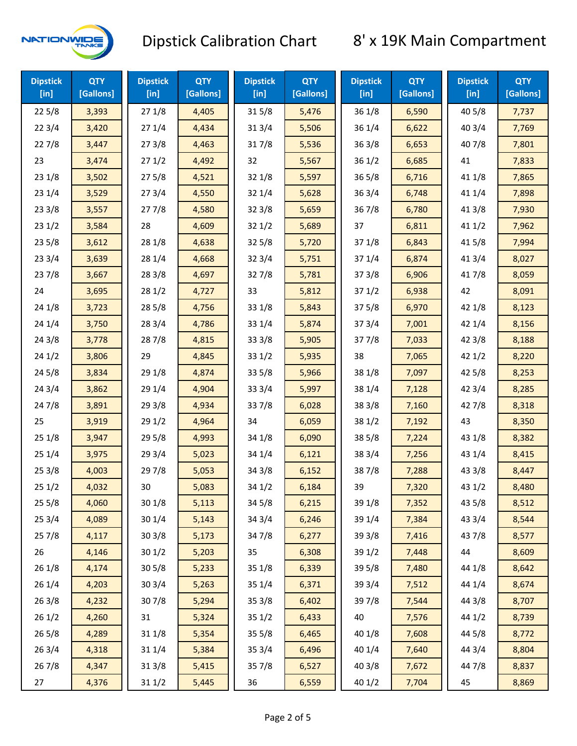

| <b>Dipstick</b><br>$[$ in] | <b>QTY</b><br>[Gallons] | <b>Dipstick</b><br>$[$ in] | <b>QTY</b><br>[Gallons] | <b>Dipstick</b><br>$[$ in] | <b>QTY</b><br>[Gallons] | <b>Dipstick</b><br>$[$ in] | <b>QTY</b><br>[Gallons] | <b>Dipstick</b><br>$[$ in] | <b>QTY</b><br>[Gallons] |
|----------------------------|-------------------------|----------------------------|-------------------------|----------------------------|-------------------------|----------------------------|-------------------------|----------------------------|-------------------------|
| 225/8                      | 3,393                   | 271/8                      | 4,405                   | 315/8                      | 5,476                   | 36 1/8                     | 6,590                   | 40 5/8                     | 7,737                   |
| 223/4                      | 3,420                   | 271/4                      | 4,434                   | 31 3/4                     | 5,506                   | 36 1/4                     | 6,622                   | 40 3/4                     | 7,769                   |
| 227/8                      | 3,447                   | 273/8                      | 4,463                   | 317/8                      | 5,536                   | 363/8                      | 6,653                   | 407/8                      | 7,801                   |
| 23                         | 3,474                   | 271/2                      | 4,492                   | 32                         | 5,567                   | 361/2                      | 6,685                   | 41                         | 7,833                   |
| 23 1/8                     | 3,502                   | 275/8                      | 4,521                   | 32 1/8                     | 5,597                   | 365/8                      | 6,716                   | 41 1/8                     | 7,865                   |
| 231/4                      | 3,529                   | 273/4                      | 4,550                   | 32 1/4                     | 5,628                   | 363/4                      | 6,748                   | 41 1/4                     | 7,898                   |
| 233/8                      | 3,557                   | 277/8                      | 4,580                   | 32 3/8                     | 5,659                   | 36 7/8                     | 6,780                   | 41 3/8                     | 7,930                   |
| 231/2                      | 3,584                   | 28                         | 4,609                   | 321/2                      | 5,689                   | 37                         | 6,811                   | 411/2                      | 7,962                   |
| 235/8                      | 3,612                   | 28 1/8                     | 4,638                   | 325/8                      | 5,720                   | 371/8                      | 6,843                   | 41 5/8                     | 7,994                   |
| 233/4                      | 3,639                   | 28 1/4                     | 4,668                   | 32 3/4                     | 5,751                   | 37 1/4                     | 6,874                   | 41 3/4                     | 8,027                   |
| 237/8                      | 3,667                   | 28 3/8                     | 4,697                   | 327/8                      | 5,781                   | 373/8                      | 6,906                   | 417/8                      | 8,059                   |
| 24                         | 3,695                   | 281/2                      | 4,727                   | 33                         | 5,812                   | 371/2                      | 6,938                   | 42                         | 8,091                   |
| 24 1/8                     | 3,723                   | 28 5/8                     | 4,756                   | 33 1/8                     | 5,843                   | 375/8                      | 6,970                   | 42 1/8                     | 8,123                   |
| 24 1/4                     | 3,750                   | 283/4                      | 4,786                   | 33 1/4                     | 5,874                   | 373/4                      | 7,001                   | 42 1/4                     | 8,156                   |
| 243/8                      | 3,778                   | 287/8                      | 4,815                   | 33 3/8                     | 5,905                   | 377/8                      | 7,033                   | 42 3/8                     | 8,188                   |
| 241/2                      | 3,806                   | 29                         | 4,845                   | 33 1/2                     | 5,935                   | 38                         | 7,065                   | 421/2                      | 8,220                   |
| 245/8                      | 3,834                   | 29 1/8                     | 4,874                   | 33 5/8                     | 5,966                   | 38 1/8                     | 7,097                   | 42 5/8                     | 8,253                   |
| 243/4                      | 3,862                   | 29 1/4                     | 4,904                   | 33 3/4                     | 5,997                   | 38 1/4                     | 7,128                   | 42 3/4                     | 8,285                   |
| 24 7/8                     | 3,891                   | 293/8                      | 4,934                   | 337/8                      | 6,028                   | 38 3/8                     | 7,160                   | 42 7/8                     | 8,318                   |
| 25                         | 3,919                   | 291/2                      | 4,964                   | 34                         | 6,059                   | 38 1/2                     | 7,192                   | 43                         | 8,350                   |
| 251/8                      | 3,947                   | 29 5/8                     | 4,993                   | 34 1/8                     | 6,090                   | 38 5/8                     | 7,224                   | 43 1/8                     | 8,382                   |
| 251/4                      | 3,975                   | 293/4                      | 5,023                   | 34 1/4                     | 6,121                   | 38 3/4                     | 7,256                   | 43 1/4                     | 8,415                   |
| 253/8                      | 4,003                   | 297/8                      | 5,053                   | 34 3/8                     | 6,152                   | 387/8                      | 7,288                   | 43 3/8                     | 8,447                   |
| 251/2                      | 4,032                   | 30                         | 5,083                   | 34 1/2                     | 6,184                   | 39                         | 7,320                   | 431/2                      | 8,480                   |
| 255/8                      | 4,060                   | 301/8                      | 5,113                   | 34 5/8                     | 6,215                   | 39 1/8                     | 7,352                   | 43 5/8                     | 8,512                   |
| 25 3/4                     | 4,089                   | 301/4                      | 5,143                   | 34 3/4                     | 6,246                   | 39 1/4                     | 7,384                   | 43 3/4                     | 8,544                   |
| 257/8                      | 4,117                   | 303/8                      | 5,173                   | 347/8                      | 6,277                   | 39 3/8                     | 7,416                   | 437/8                      | 8,577                   |
| 26                         | 4,146                   | 301/2                      | 5,203                   | 35                         | 6,308                   | 39 1/2                     | 7,448                   | 44                         | 8,609                   |
| 26 1/8                     | 4,174                   | 305/8                      | 5,233                   | 35 1/8                     | 6,339                   | 39 5/8                     | 7,480                   | 44 1/8                     | 8,642                   |
| 26 1/4                     | 4,203                   | 303/4                      | 5,263                   | 35 1/4                     | 6,371                   | 39 3/4                     | 7,512                   | 44 1/4                     | 8,674                   |
| 263/8                      | 4,232                   | 307/8                      | 5,294                   | 35 3/8                     | 6,402                   | 397/8                      | 7,544                   | 44 3/8                     | 8,707                   |
| 261/2                      | 4,260                   | 31                         | 5,324                   | 351/2                      | 6,433                   | 40                         | 7,576                   | 44 1/2                     | 8,739                   |
| 265/8                      | 4,289                   | 31 1/8                     | 5,354                   | 35 5/8                     | 6,465                   | 40 1/8                     | 7,608                   | 44 5/8                     | 8,772                   |
| 263/4                      | 4,318                   | 31 1/4                     | 5,384                   | 35 3/4                     | 6,496                   | 40 1/4                     | 7,640                   | 44 3/4                     | 8,804                   |
| 267/8                      | 4,347                   | 313/8                      | 5,415                   | 357/8                      | 6,527                   | 40 3/8                     | 7,672                   | 447/8                      | 8,837                   |
| 27                         | 4,376                   | 31 1/2                     | 5,445                   | 36                         | 6,559                   | 40 1/2                     | 7,704                   | 45                         | 8,869                   |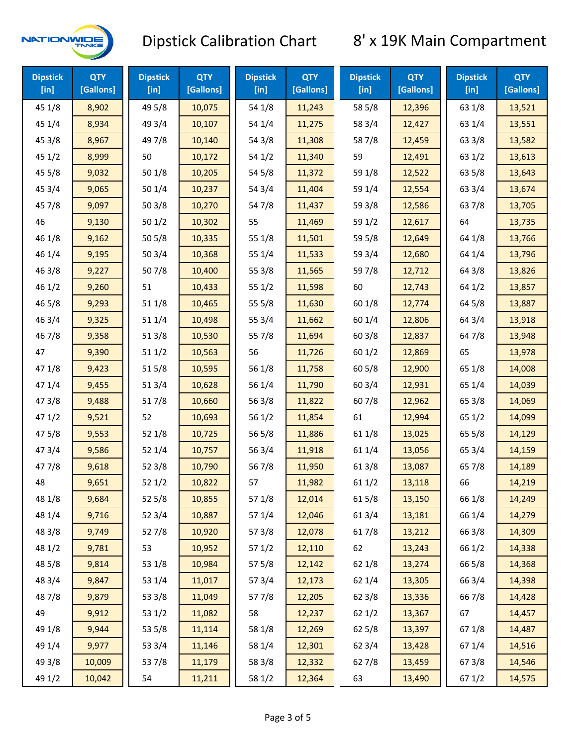

| <b>Dipstick</b><br>$[$ in] | <b>QTY</b><br>[Gallons] | <b>Dipstick</b><br>$[$ in] | <b>QTY</b><br>[Gallons] | <b>Dipstick</b><br>$[$ in] | <b>QTY</b><br>[Gallons] | <b>Dipstick</b><br>$[$ in] | <b>QTY</b><br>[Gallons] | <b>Dipstick</b><br>$[$ in] | <b>QTY</b><br>[Gallons] |
|----------------------------|-------------------------|----------------------------|-------------------------|----------------------------|-------------------------|----------------------------|-------------------------|----------------------------|-------------------------|
| 45 1/8                     | 8,902                   | 49 5/8                     | 10,075                  | 54 1/8                     | 11,243                  | 58 5/8                     | 12,396                  | 63 1/8                     | 13,521                  |
| 45 1/4                     | 8,934                   | 49 3/4                     | 10,107                  | 54 1/4                     | 11,275                  | 58 3/4                     | 12,427                  | 63 1/4                     | 13,551                  |
| 45 3/8                     | 8,967                   | 49 7/8                     | 10,140                  | 54 3/8                     | 11,308                  | 587/8                      | 12,459                  | 63 3/8                     | 13,582                  |
| 451/2                      | 8,999                   | 50                         | 10,172                  | 54 1/2                     | 11,340                  | 59                         | 12,491                  | 63 1/2                     | 13,613                  |
| 45 5/8                     | 9,032                   | 50 1/8                     | 10,205                  | 54 5/8                     | 11,372                  | 59 1/8                     | 12,522                  | 63 5/8                     | 13,643                  |
| 45 3/4                     | 9,065                   | 501/4                      | 10,237                  | 54 3/4                     | 11,404                  | 59 1/4                     | 12,554                  | 63 3/4                     | 13,674                  |
| 45 7/8                     | 9,097                   | 503/8                      | 10,270                  | 54 7/8                     | 11,437                  | 59 3/8                     | 12,586                  | 637/8                      | 13,705                  |
| 46                         | 9,130                   | 501/2                      | 10,302                  | 55                         | 11,469                  | 59 1/2                     | 12,617                  | 64                         | 13,735                  |
| 46 1/8                     | 9,162                   | 505/8                      | 10,335                  | 55 1/8                     | 11,501                  | 59 5/8                     | 12,649                  | 64 1/8                     | 13,766                  |
| 46 1/4                     | 9,195                   | 503/4                      | 10,368                  | 55 1/4                     | 11,533                  | 59 3/4                     | 12,680                  | 64 1/4                     | 13,796                  |
| 46 3/8                     | 9,227                   | 507/8                      | 10,400                  | 55 3/8                     | 11,565                  | 59 7/8                     | 12,712                  | 64 3/8                     | 13,826                  |
| 46 1/2                     | 9,260                   | 51                         | 10,433                  | 551/2                      | 11,598                  | 60                         | 12,743                  | 64 1/2                     | 13,857                  |
| 46 5/8                     | 9,293                   | 51 1/8                     | 10,465                  | 55 5/8                     | 11,630                  | 60 1/8                     | 12,774                  | 64 5/8                     | 13,887                  |
| 46 3/4                     | 9,325                   | 51 1/4                     | 10,498                  | 55 3/4                     | 11,662                  | 60 1/4                     | 12,806                  | 64 3/4                     | 13,918                  |
| 46 7/8                     | 9,358                   | 513/8                      | 10,530                  | 55 7/8                     | 11,694                  | 60 3/8                     | 12,837                  | 64 7/8                     | 13,948                  |
| 47                         | 9,390                   | 511/2                      | 10,563                  | 56                         | 11,726                  | 601/2                      | 12,869                  | 65                         | 13,978                  |
| 47 1/8                     | 9,423                   | 515/8                      | 10,595                  | 56 1/8                     | 11,758                  | 60 5/8                     | 12,900                  | 65 1/8                     | 14,008                  |
| 47 1/4                     | 9,455                   | 513/4                      | 10,628                  | 56 1/4                     | 11,790                  | 603/4                      | 12,931                  | 65 1/4                     | 14,039                  |
| 47 3/8                     | 9,488                   | 517/8                      | 10,660                  | 56 3/8                     | 11,822                  | 60 7/8                     | 12,962                  | 65 3/8                     | 14,069                  |
| 471/2                      | 9,521                   | 52                         | 10,693                  | 56 1/2                     | 11,854                  | 61                         | 12,994                  | 65 1/2                     | 14,099                  |
| 475/8                      | 9,553                   | 521/8                      | 10,725                  | 56 5/8                     | 11,886                  | 61 1/8                     | 13,025                  | 65 5/8                     | 14,129                  |
| 473/4                      | 9,586                   | 521/4                      | 10,757                  | 56 3/4                     | 11,918                  | 61 1/4                     | 13,056                  | 65 3/4                     | 14,159                  |
| 47 7/8                     | 9,618                   | 52 3/8                     | 10,790                  | 567/8                      | 11,950                  | 613/8                      | 13,087                  | 65 7/8                     | 14,189                  |
| 48                         | 9,651                   | 521/2                      | 10,822                  | 57                         | 11,982                  | 611/2                      | 13,118                  | 66                         | 14,219                  |
| 48 1/8                     | 9,684                   | 525/8                      | 10,855                  | 57 1/8                     | 12,014                  | 615/8                      | 13,150                  | 66 1/8                     | 14,249                  |
| 48 1/4                     | 9,716                   | 52 3/4                     | 10,887                  | 57 1/4                     | 12,046                  | 61 3/4                     | 13,181                  | 66 1/4                     | 14,279                  |
| 48 3/8                     | 9,749                   | 527/8                      | 10,920                  | 57 3/8                     | 12,078                  | 617/8                      | 13,212                  | 66 3/8                     | 14,309                  |
| 48 1/2                     | 9,781                   | 53                         | 10,952                  | 571/2                      | 12,110                  | 62                         | 13,243                  | 66 1/2                     | 14,338                  |
| 48 5/8                     | 9,814                   | 53 1/8                     | 10,984                  | 57 5/8                     | 12,142                  | 62 1/8                     | 13,274                  | 66 5/8                     | 14,368                  |
| 48 3/4                     | 9,847                   | 53 1/4                     | 11,017                  | 573/4                      | 12,173                  | 62 1/4                     | 13,305                  | 66 3/4                     | 14,398                  |
| 487/8                      | 9,879                   | 53 3/8                     | 11,049                  | 577/8                      | 12,205                  | 62 3/8                     | 13,336                  | 667/8                      | 14,428                  |
| 49                         | 9,912                   | 53 1/2                     | 11,082                  | 58                         | 12,237                  | 621/2                      | 13,367                  | 67                         | 14,457                  |
| 49 1/8                     | 9,944                   | 53 5/8                     | 11,114                  | 58 1/8                     | 12,269                  | 62 5/8                     | 13,397                  | 671/8                      | 14,487                  |
| 49 1/4                     | 9,977                   | 53 3/4                     | 11,146                  | 58 1/4                     | 12,301                  | 62 3/4                     | 13,428                  | 67 1/4                     | 14,516                  |
| 49 3/8                     | 10,009                  | 537/8                      | 11,179                  | 58 3/8                     | 12,332                  | 627/8                      | 13,459                  | 673/8                      | 14,546                  |
| 49 1/2                     | 10,042                  | 54                         | 11,211                  | 58 1/2                     | 12,364                  | 63                         | 13,490                  | 67 1/2                     | 14,575                  |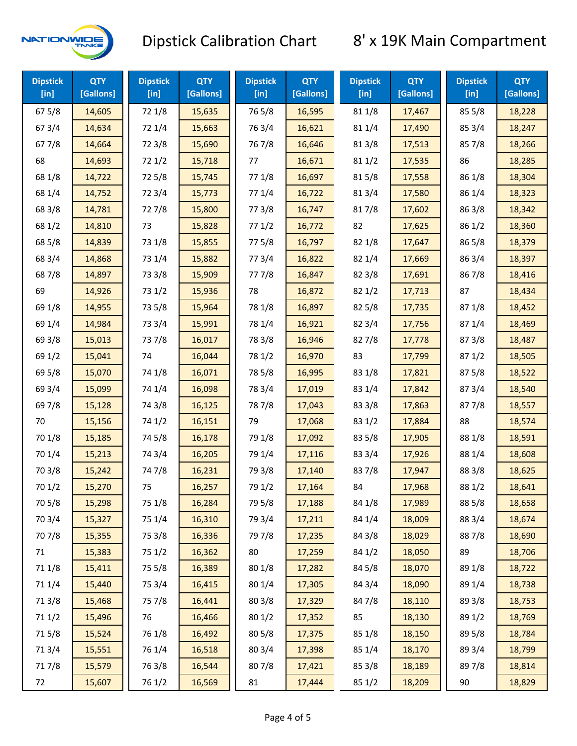

| <b>Dipstick</b><br>$[$ in] | <b>QTY</b><br>[Gallons] | <b>Dipstick</b><br>$[$ in] | <b>QTY</b><br>[Gallons] | <b>Dipstick</b><br>$[$ in] | <b>QTY</b><br>[Gallons] | <b>Dipstick</b><br>$[$ in] | <b>QTY</b><br>[Gallons] | <b>Dipstick</b><br>[in] | <b>QTY</b><br>[Gallons] |
|----------------------------|-------------------------|----------------------------|-------------------------|----------------------------|-------------------------|----------------------------|-------------------------|-------------------------|-------------------------|
| 675/8                      | 14,605                  | 72 1/8                     | 15,635                  | 765/8                      | 16,595                  | 81 1/8                     | 17,467                  | 855/8                   | 18,228                  |
| 67 3/4                     | 14,634                  | 72 1/4                     | 15,663                  | 763/4                      | 16,621                  | 81 1/4                     | 17,490                  | 85 3/4                  | 18,247                  |
| 677/8                      | 14,664                  | 72 3/8                     | 15,690                  | 767/8                      | 16,646                  | 81 3/8                     | 17,513                  | 857/8                   | 18,266                  |
| 68                         | 14,693                  | 72 1/2                     | 15,718                  | 77                         | 16,671                  | 811/2                      | 17,535                  | 86                      | 18,285                  |
| 68 1/8                     | 14,722                  | 725/8                      | 15,745                  | 77 1/8                     | 16,697                  | 815/8                      | 17,558                  | 86 1/8                  | 18,304                  |
| 68 1/4                     | 14,752                  | 72 3/4                     | 15,773                  | 77 1/4                     | 16,722                  | 813/4                      | 17,580                  | 86 1/4                  | 18,323                  |
| 68 3/8                     | 14,781                  | 727/8                      | 15,800                  | 77 3/8                     | 16,747                  | 817/8                      | 17,602                  | 86 3/8                  | 18,342                  |
| 68 1/2                     | 14,810                  | 73                         | 15,828                  | 771/2                      | 16,772                  | 82                         | 17,625                  | 86 1/2                  | 18,360                  |
| 68 5/8                     | 14,839                  | 73 1/8                     | 15,855                  | 775/8                      | 16,797                  | 82 1/8                     | 17,647                  | 86 5/8                  | 18,379                  |
| 68 3/4                     | 14,868                  | 73 1/4                     | 15,882                  | 773/4                      | 16,822                  | 82 1/4                     | 17,669                  | 86 3/4                  | 18,397                  |
| 687/8                      | 14,897                  | 73 3/8                     | 15,909                  | 777/8                      | 16,847                  | 82 3/8                     | 17,691                  | 867/8                   | 18,416                  |
| 69                         | 14,926                  | 73 1/2                     | 15,936                  | 78                         | 16,872                  | 821/2                      | 17,713                  | 87                      | 18,434                  |
| 69 1/8                     | 14,955                  | 73 5/8                     | 15,964                  | 78 1/8                     | 16,897                  | 825/8                      | 17,735                  | 871/8                   | 18,452                  |
| 69 1/4                     | 14,984                  | 73 3/4                     | 15,991                  | 78 1/4                     | 16,921                  | 82 3/4                     | 17,756                  | 871/4                   | 18,469                  |
| 69 3/8                     | 15,013                  | 737/8                      | 16,017                  | 78 3/8                     | 16,946                  | 827/8                      | 17,778                  | 87 3/8                  | 18,487                  |
| 69 1/2                     | 15,041                  | 74                         | 16,044                  | 78 1/2                     | 16,970                  | 83                         | 17,799                  | 871/2                   | 18,505                  |
| 69 5/8                     | 15,070                  | 74 1/8                     | 16,071                  | 78 5/8                     | 16,995                  | 83 1/8                     | 17,821                  | 875/8                   | 18,522                  |
| 69 3/4                     | 15,099                  | 74 1/4                     | 16,098                  | 78 3/4                     | 17,019                  | 83 1/4                     | 17,842                  | 87 3/4                  | 18,540                  |
| 697/8                      | 15,128                  | 74 3/8                     | 16,125                  | 787/8                      | 17,043                  | 83 3/8                     | 17,863                  | 877/8                   | 18,557                  |
| 70                         | 15,156                  | 74 1/2                     | 16,151                  | 79                         | 17,068                  | 83 1/2                     | 17,884                  | 88                      | 18,574                  |
| 70 1/8                     | 15,185                  | 74 5/8                     | 16,178                  | 79 1/8                     | 17,092                  | 83 5/8                     | 17,905                  | 88 1/8                  | 18,591                  |
| 70 1/4                     | 15,213                  | 74 3/4                     | 16,205                  | 79 1/4                     | 17,116                  | 83 3/4                     | 17,926                  | 88 1/4                  | 18,608                  |
| 70 3/8                     | 15,242                  | 747/8                      | 16,231                  | 79 3/8                     | 17,140                  | 837/8                      | 17,947                  | 88 3/8                  | 18,625                  |
| 70 1/2                     | 15,270                  | 75                         | 16,257                  | 79 1/2                     | 17,164                  | 84                         | 17,968                  | 88 1/2                  | 18,641                  |
| 70 5/8                     | 15,298                  | 75 1/8                     | 16,284                  | 79 5/8                     | 17,188                  | 84 1/8                     | 17,989                  | 88 5/8                  | 18,658                  |
| 70 3/4                     | 15,327                  | 75 1/4                     | 16,310                  | 79 3/4                     | 17,211                  | 84 1/4                     | 18,009                  | 88 3/4                  | 18,674                  |
| 70 7/8                     | 15,355                  | 75 3/8                     | 16,336                  | 79 7/8                     | 17,235                  | 84 3/8                     | 18,029                  | 887/8                   | 18,690                  |
| 71                         | 15,383                  | 75 1/2                     | 16,362                  | 80                         | 17,259                  | 84 1/2                     | 18,050                  | 89                      | 18,706                  |
| 71 1/8                     | 15,411                  | 75 5/8                     | 16,389                  | 80 1/8                     | 17,282                  | 84 5/8                     | 18,070                  | 89 1/8                  | 18,722                  |
| 71 1/4                     | 15,440                  | 75 3/4                     | 16,415                  | 80 1/4                     | 17,305                  | 84 3/4                     | 18,090                  | 89 1/4                  | 18,738                  |
| 713/8                      | 15,468                  | 75 7/8                     | 16,441                  | 80 3/8                     | 17,329                  | 847/8                      | 18,110                  | 89 3/8                  | 18,753                  |
| 71 1/2                     | 15,496                  | 76                         | 16,466                  | 80 1/2                     | 17,352                  | 85                         | 18,130                  | 89 1/2                  | 18,769                  |
| 715/8                      | 15,524                  | 76 1/8                     | 16,492                  | 80 5/8                     | 17,375                  | 85 1/8                     | 18,150                  | 89 5/8                  | 18,784                  |
| 713/4                      | 15,551                  | 76 1/4                     | 16,518                  | 80 3/4                     | 17,398                  | 85 1/4                     | 18,170                  | 89 3/4                  | 18,799                  |
| 717/8                      | 15,579                  | 763/8                      | 16,544                  | 807/8                      | 17,421                  | 85 3/8                     | 18,189                  | 897/8                   | 18,814                  |
| 72                         | 15,607                  | 76 1/2                     | 16,569                  | 81                         | 17,444                  | 85 1/2                     | 18,209                  | 90                      | 18,829                  |